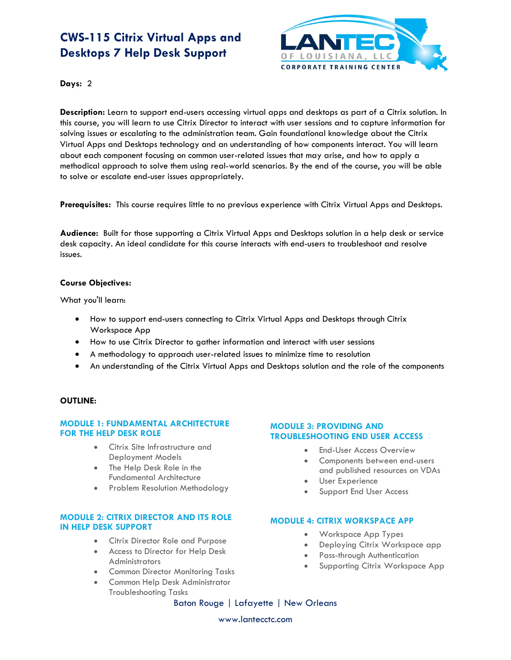## **CWS-115 Citrix Virtual Apps and Desktops 7 Help Desk Support**



**Days:** 2

**Description:** Learn to support end-users accessing virtual apps and desktops as part of a Citrix solution. In this course, you will learn to use Citrix Director to interact with user sessions and to capture information for solving issues or escalating to the administration team. Gain foundational knowledge about the Citrix Virtual Apps and Desktops technology and an understanding of how components interact. You will learn about each component focusing on common user-related issues that may arise, and how to apply a methodical approach to solve them using real-world scenarios. By the end of the course, you will be able to solve or escalate end-user issues appropriately.

**Prerequisites:** This course requires little to no previous experience with Citrix Virtual Apps and Desktops.

**Audience:** Built for those supporting a Citrix Virtual Apps and Desktops solution in a help desk or service desk capacity. An ideal candidate for this course interacts with end-users to troubleshoot and resolve issues.

## **Course Objectives:**

What you'll learn:

- How to support end-users connecting to Citrix Virtual Apps and Desktops through Citrix Workspace App
- How to use Citrix Director to gather information and interact with user sessions
- A methodology to approach user-related issues to minimize time to resolution
- An understanding of the Citrix Virtual Apps and Desktops solution and the role of the components

#### **OUTLINE:**

## **MODULE 1: FUNDAMENTAL ARCHITECTURE FOR THE HELP DESK ROLE**

- Citrix Site Infrastructure and Deployment Models
- The Help Desk Role in the Fundamental Architecture
- Problem Resolution Methodology

## **MODULE 2: CITRIX DIRECTOR AND ITS ROLE IN HELP DESK SUPPORT**

- Citrix Director Role and Purpose
- Access to Director for Help Desk **Administrators**
- Common Director Monitoring Tasks
- Common Help Desk Administrator Troubleshooting Tasks

#### **MODULE 3: PROVIDING AND TROUBLESHOOTING END USER ACCESS**

- **End-User Access Overview**
- Components between end-users and published resources on VDAs
- User Experience
- Support End User Access

#### **MODULE 4: CITRIX WORKSPACE APP**

- Workspace App Types
- Deploying Citrix Workspace app
- Pass-through Authentication
- Supporting Citrix Workspace App

Baton Rouge | Lafayette | New Orleans